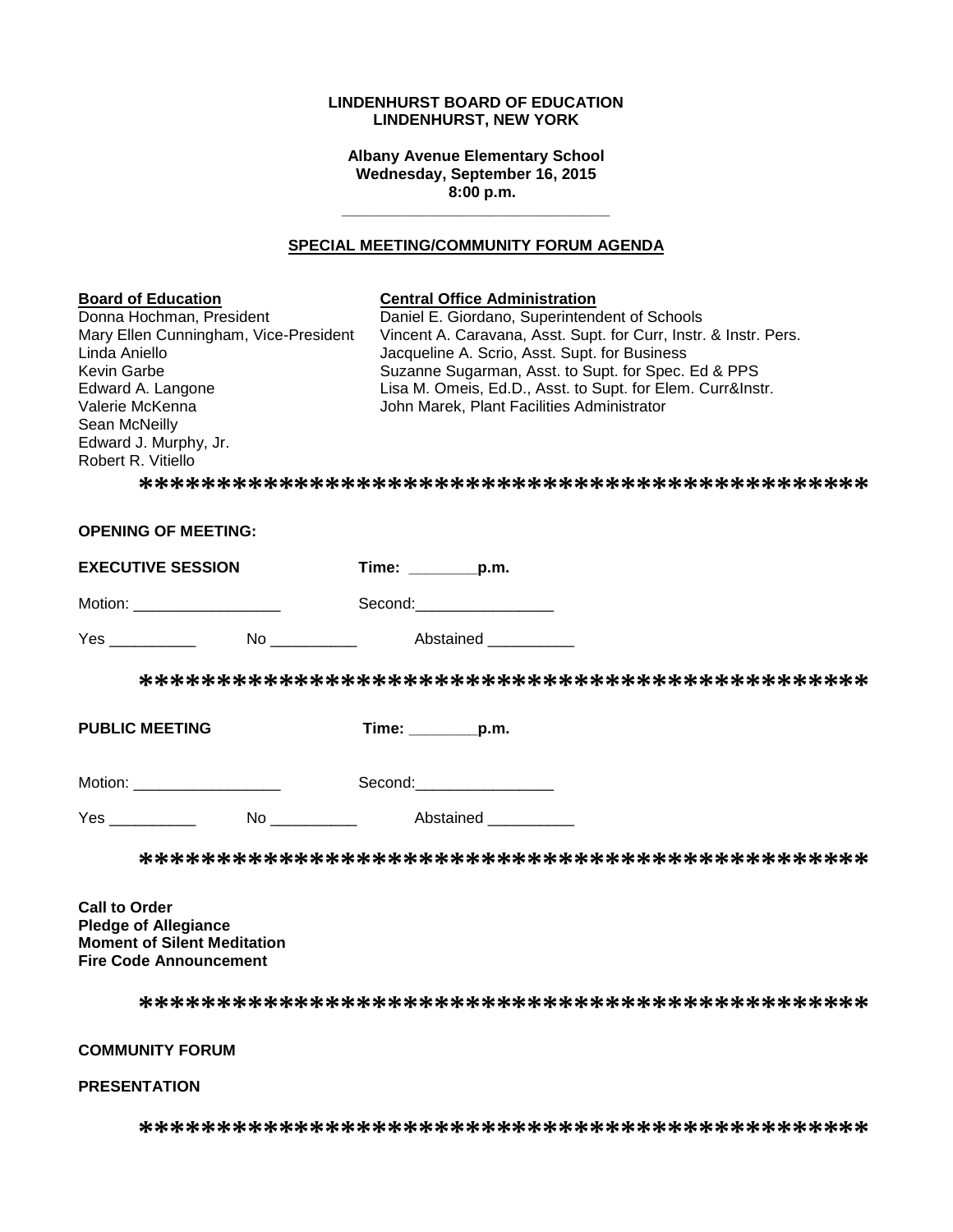#### **LINDENHURST BOARD OF EDUCATION LINDENHURST, NEW YORK**

**Albany Avenue Elementary School Wednesday, September 16, 2015 8:00 p.m.**

### **SPECIAL MEETING/COMMUNITY FORUM AGENDA**

**\_\_\_\_\_\_\_\_\_\_\_\_\_\_\_\_\_\_\_\_\_\_\_\_\_\_\_\_\_\_\_**

| <b>Board of Education</b><br>Donna Hochman, President<br>Mary Ellen Cunningham, Vice-President<br>Linda Aniello<br>Kevin Garbe<br>Edward A. Langone<br>Valerie McKenna<br>Sean McNeilly<br>Edward J. Murphy, Jr.<br>Robert R. Vitiello  | <b>Central Office Administration</b><br>Daniel E. Giordano, Superintendent of Schools<br>Vincent A. Caravana, Asst. Supt. for Curr, Instr. & Instr. Pers.<br>Jacqueline A. Scrio, Asst. Supt. for Business<br>Suzanne Sugarman, Asst. to Supt. for Spec. Ed & PPS<br>Lisa M. Omeis, Ed.D., Asst. to Supt. for Elem. Curr&Instr.<br>John Marek, Plant Facilities Administrator |
|-----------------------------------------------------------------------------------------------------------------------------------------------------------------------------------------------------------------------------------------|-------------------------------------------------------------------------------------------------------------------------------------------------------------------------------------------------------------------------------------------------------------------------------------------------------------------------------------------------------------------------------|
| <b>OPENING OF MEETING:</b>                                                                                                                                                                                                              |                                                                                                                                                                                                                                                                                                                                                                               |
| <b>EXECUTIVE SESSION</b>                                                                                                                                                                                                                | Time: $\_\_$ p.m.                                                                                                                                                                                                                                                                                                                                                             |
| Motion: ____________________                                                                                                                                                                                                            | Second: Second:                                                                                                                                                                                                                                                                                                                                                               |
| <b>The Second Second Second Second Second Second Second Second Second Second Second Second Second Second Second S</b><br>No and the state of the state of the state of the state of the state of the state of the state of the state of | Abstained                                                                                                                                                                                                                                                                                                                                                                     |
|                                                                                                                                                                                                                                         |                                                                                                                                                                                                                                                                                                                                                                               |
| <b>PUBLIC MEETING</b>                                                                                                                                                                                                                   | $Time:$ p.m.                                                                                                                                                                                                                                                                                                                                                                  |
| Motion: _____________________                                                                                                                                                                                                           | Second: the contract of the contract of the contract of the contract of the contract of the contract of the contract of the contract of the contract of the contract of the contract of the contract of the contract of the co                                                                                                                                                |
| <b>The Second Second Pressure Abstained</b>                                                                                                                                                                                             |                                                                                                                                                                                                                                                                                                                                                                               |
|                                                                                                                                                                                                                                         |                                                                                                                                                                                                                                                                                                                                                                               |
| <b>Call to Order</b><br>Diadaa af Allanianaa                                                                                                                                                                                            |                                                                                                                                                                                                                                                                                                                                                                               |

**Pledge of Allegiance Moment of Silent Meditation Fire Code Announcement**

**\*\*\*\*\*\*\*\*\*\*\*\*\*\*\*\*\*\*\*\*\*\*\*\*\*\*\*\*\*\*\*\*\*\*\*\*\*\*\*\*\*\*\*\*\*\*\***

### **COMMUNITY FORUM**

### **PRESENTATION**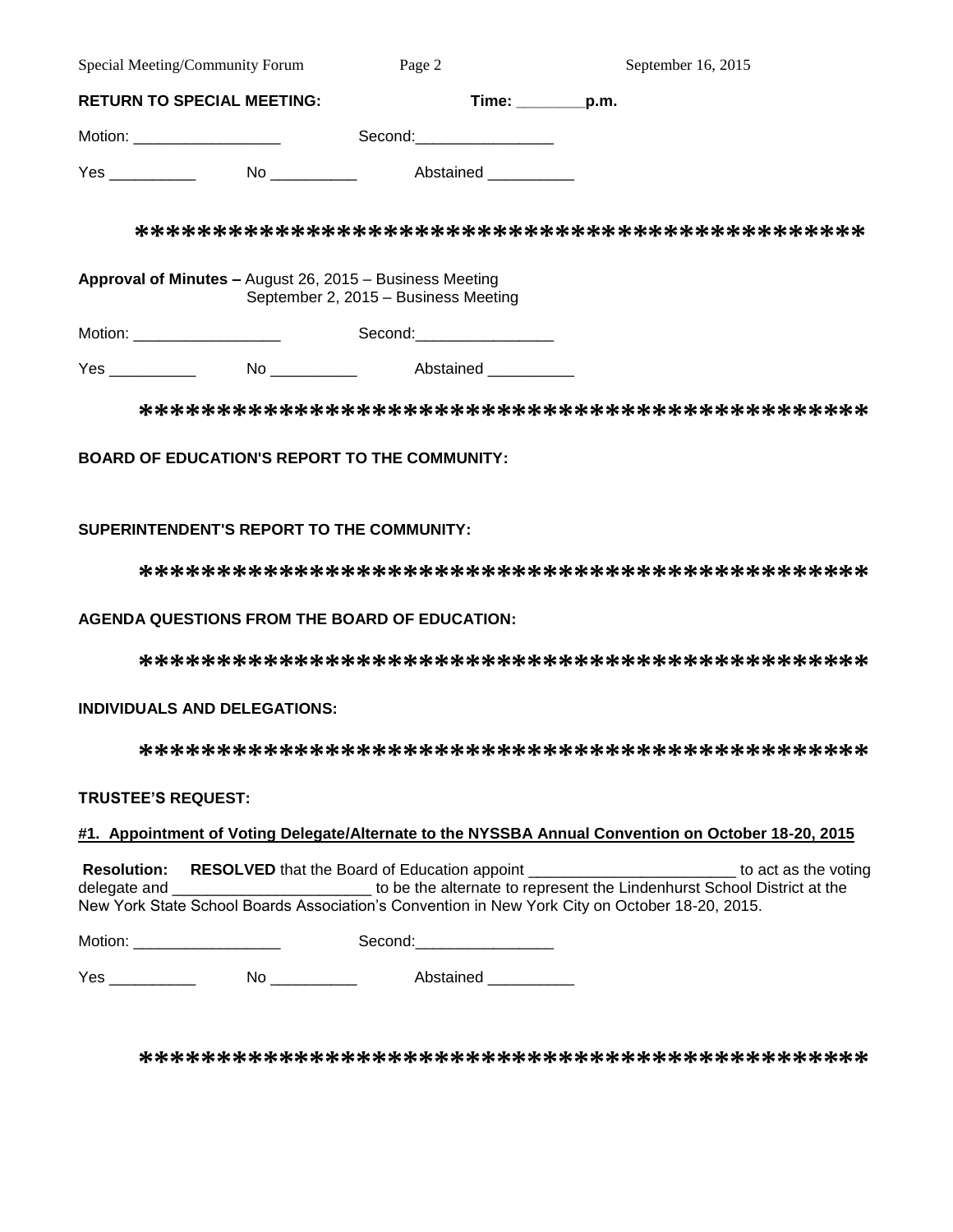| Special Meeting/Community Forum   |                                                          | Page 2                               | September 16, 2015    |
|-----------------------------------|----------------------------------------------------------|--------------------------------------|-----------------------|
| <b>RETURN TO SPECIAL MEETING:</b> |                                                          |                                      | $Time:$ $p.m.$        |
| Motion: ____________________      |                                                          | Second:___________________           |                       |
|                                   |                                                          |                                      | Abstained ___________ |
|                                   | Approval of Minutes - August 26, 2015 - Business Meeting | September 2, 2015 - Business Meeting |                       |
| Motion: ____________________      |                                                          | Second:___________________           |                       |
|                                   | No _____________                                         | Abstained                            |                       |

**\*\*\*\*\*\*\*\*\*\*\*\*\*\*\*\*\*\*\*\*\*\*\*\*\*\*\*\*\*\*\*\*\*\*\*\*\*\*\*\*\*\*\*\*\*\*\***

## **BOARD OF EDUCATION'S REPORT TO THE COMMUNITY:**

## **SUPERINTENDENT'S REPORT TO THE COMMUNITY:**

**\*\*\*\*\*\*\*\*\*\*\*\*\*\*\*\*\*\*\*\*\*\*\*\*\*\*\*\*\*\*\*\*\*\*\*\*\*\*\*\*\*\*\*\*\*\*\***

## **AGENDA QUESTIONS FROM THE BOARD OF EDUCATION:**

**\*\*\*\*\*\*\*\*\*\*\*\*\*\*\*\*\*\*\*\*\*\*\*\*\*\*\*\*\*\*\*\*\*\*\*\*\*\*\*\*\*\*\*\*\*\*\***

## **INDIVIDUALS AND DELEGATIONS:**

**\*\*\*\*\*\*\*\*\*\*\*\*\*\*\*\*\*\*\*\*\*\*\*\*\*\*\*\*\*\*\*\*\*\*\*\*\*\*\*\*\*\*\*\*\*\*\***

## **TRUSTEE'S REQUEST:**

## **#1. Appointment of Voting Delegate/Alternate to the NYSSBA Annual Convention on October 18-20, 2015**

**Resolution:** RESOLVED that the Board of Education appoint the state of the voting to act as the voting delegate and \_\_\_\_\_\_\_\_\_\_\_\_\_\_\_\_\_\_\_\_\_\_\_\_\_\_\_\_\_ to be the alternate to represent the Lindenhurst School District at the New York State School Boards Association's Convention in New York City on October 18-20, 2015.

| Motion: | Second: |
|---------|---------|
|---------|---------|

Yes \_\_\_\_\_\_\_\_\_\_ No \_\_\_\_\_\_\_\_\_\_ Abstained \_\_\_\_\_\_\_\_\_\_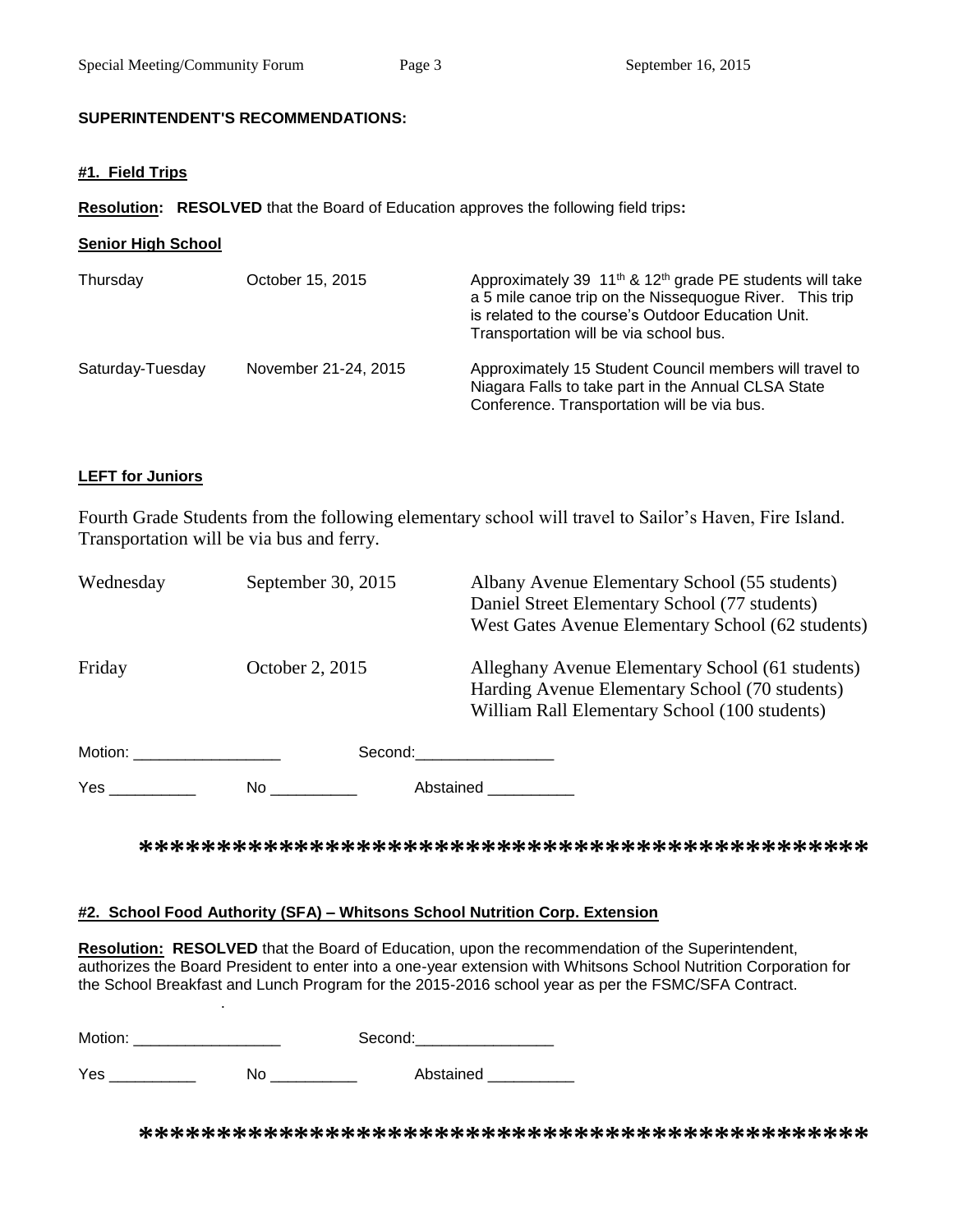### **SUPERINTENDENT'S RECOMMENDATIONS:**

### **#1. Field Trips**

**Resolution: RESOLVED** that the Board of Education approves the following field trips**:**

| <b>Senior High School</b> |                      |                                                                                                                                                                                                                                             |  |  |  |
|---------------------------|----------------------|---------------------------------------------------------------------------------------------------------------------------------------------------------------------------------------------------------------------------------------------|--|--|--|
| Thursday                  | October 15, 2015     | Approximately 39 11 <sup>th</sup> & 12 <sup>th</sup> grade PE students will take<br>a 5 mile canoe trip on the Nissequogue River. This trip<br>is related to the course's Outdoor Education Unit.<br>Transportation will be via school bus. |  |  |  |
| Saturday-Tuesday          | November 21-24, 2015 | Approximately 15 Student Council members will travel to<br>Niagara Falls to take part in the Annual CLSA State<br>Conference. Transportation will be via bus.                                                                               |  |  |  |

## **LEFT for Juniors**

.

Fourth Grade Students from the following elementary school will travel to Sailor's Haven, Fire Island. Transportation will be via bus and ferry.

| Wednesday               | September 30, 2015 | Albany Avenue Elementary School (55 students)<br>Daniel Street Elementary School (77 students)<br>West Gates Avenue Elementary School (62 students) |
|-------------------------|--------------------|-----------------------------------------------------------------------------------------------------------------------------------------------------|
| Friday                  | October 2, 2015    | Alleghany Avenue Elementary School (61 students)<br>Harding Avenue Elementary School (70 students)<br>William Rall Elementary School (100 students) |
| Motion: _______________ |                    | Second: Second:                                                                                                                                     |
| Yes                     | No.                | Abstained                                                                                                                                           |

**\*\*\*\*\*\*\*\*\*\*\*\*\*\*\*\*\*\*\*\*\*\*\*\*\*\*\*\*\*\*\*\*\*\*\*\*\*\*\*\*\*\*\*\*\*\*\***

### **#2. School Food Authority (SFA) – Whitsons School Nutrition Corp. Extension**

**Resolution: RESOLVED** that the Board of Education, upon the recommendation of the Superintendent, authorizes the Board President to enter into a one-year extension with Whitsons School Nutrition Corporation for the School Breakfast and Lunch Program for the 2015-2016 school year as per the FSMC/SFA Contract.

| Motion: | Second: |
|---------|---------|
|         |         |

Yes \_\_\_\_\_\_\_\_\_\_\_\_\_ No \_\_\_\_\_\_\_\_\_\_\_ Abstained \_\_\_\_\_\_\_\_\_\_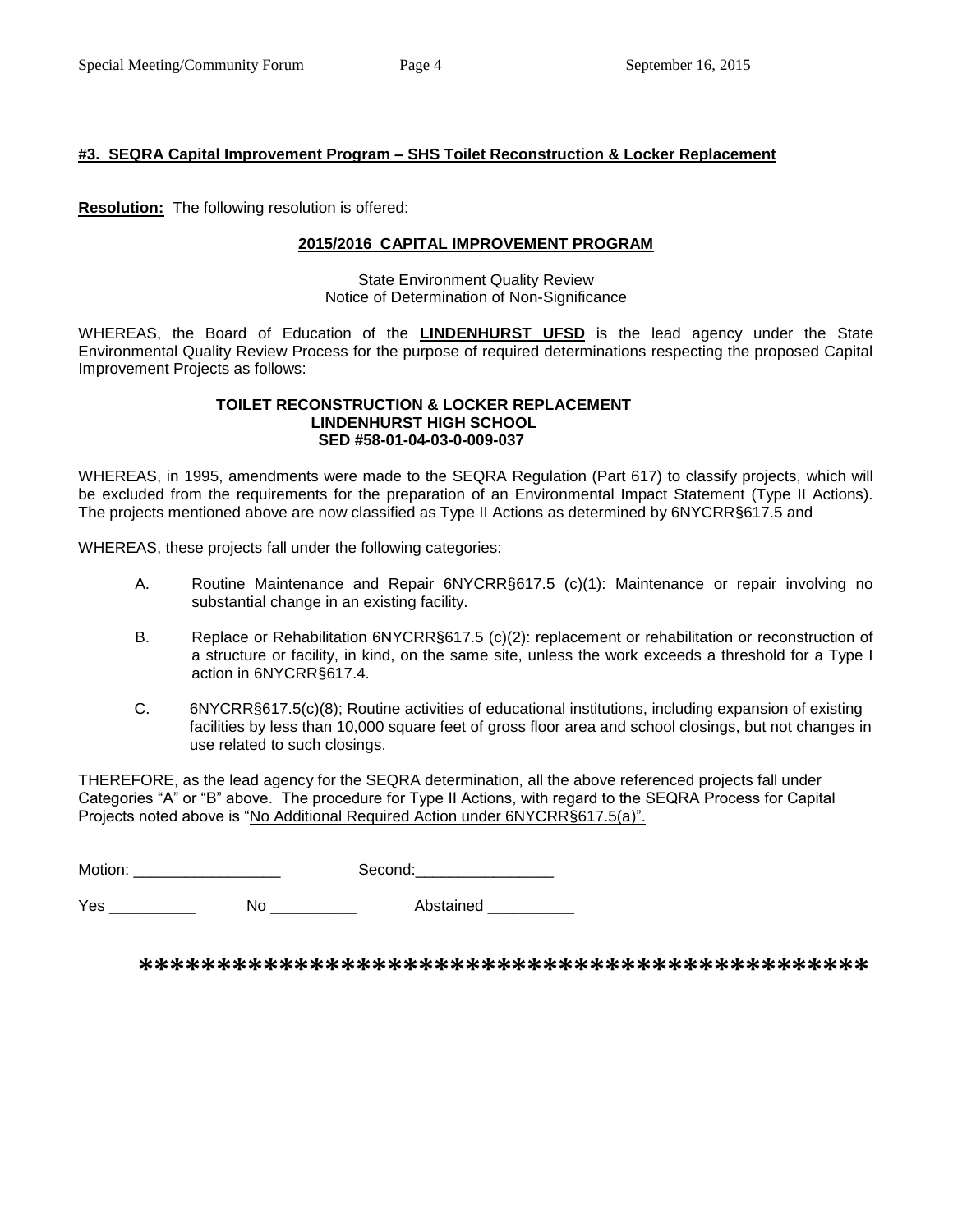## **#3. SEQRA Capital Improvement Program – SHS Toilet Reconstruction & Locker Replacement**

**Resolution:** The following resolution is offered:

### **2015/2016 CAPITAL IMPROVEMENT PROGRAM**

State Environment Quality Review Notice of Determination of Non-Significance

WHEREAS, the Board of Education of the **LINDENHURST UFSD** is the lead agency under the State Environmental Quality Review Process for the purpose of required determinations respecting the proposed Capital Improvement Projects as follows:

#### **TOILET RECONSTRUCTION & LOCKER REPLACEMENT LINDENHURST HIGH SCHOOL SED #58-01-04-03-0-009-037**

WHEREAS, in 1995, amendments were made to the SEQRA Regulation (Part 617) to classify projects, which will be excluded from the requirements for the preparation of an Environmental Impact Statement (Type II Actions). The projects mentioned above are now classified as Type II Actions as determined by 6NYCRR§617.5 and

WHEREAS, these projects fall under the following categories:

- A. Routine Maintenance and Repair 6NYCRR§617.5 (c)(1): Maintenance or repair involving no substantial change in an existing facility.
- B. Replace or Rehabilitation 6NYCRR§617.5 (c)(2): replacement or rehabilitation or reconstruction of a structure or facility, in kind, on the same site, unless the work exceeds a threshold for a Type I action in 6NYCRR§617.4.
- C. 6NYCRR§617.5(c)(8); Routine activities of educational institutions, including expansion of existing facilities by less than 10,000 square feet of gross floor area and school closings, but not changes in use related to such closings.

THEREFORE, as the lead agency for the SEQRA determination, all the above referenced projects fall under Categories "A" or "B" above. The procedure for Type II Actions, with regard to the SEQRA Process for Capital Projects noted above is "No Additional Required Action under 6NYCRR§617.5(a)".

Motion: \_\_\_\_\_\_\_\_\_\_\_\_\_\_\_\_\_ Second:\_\_\_\_\_\_\_\_\_\_\_\_\_\_\_\_

Yes \_\_\_\_\_\_\_\_\_\_\_\_\_ No \_\_\_\_\_\_\_\_\_\_\_ Abstained \_\_\_\_\_\_\_\_\_\_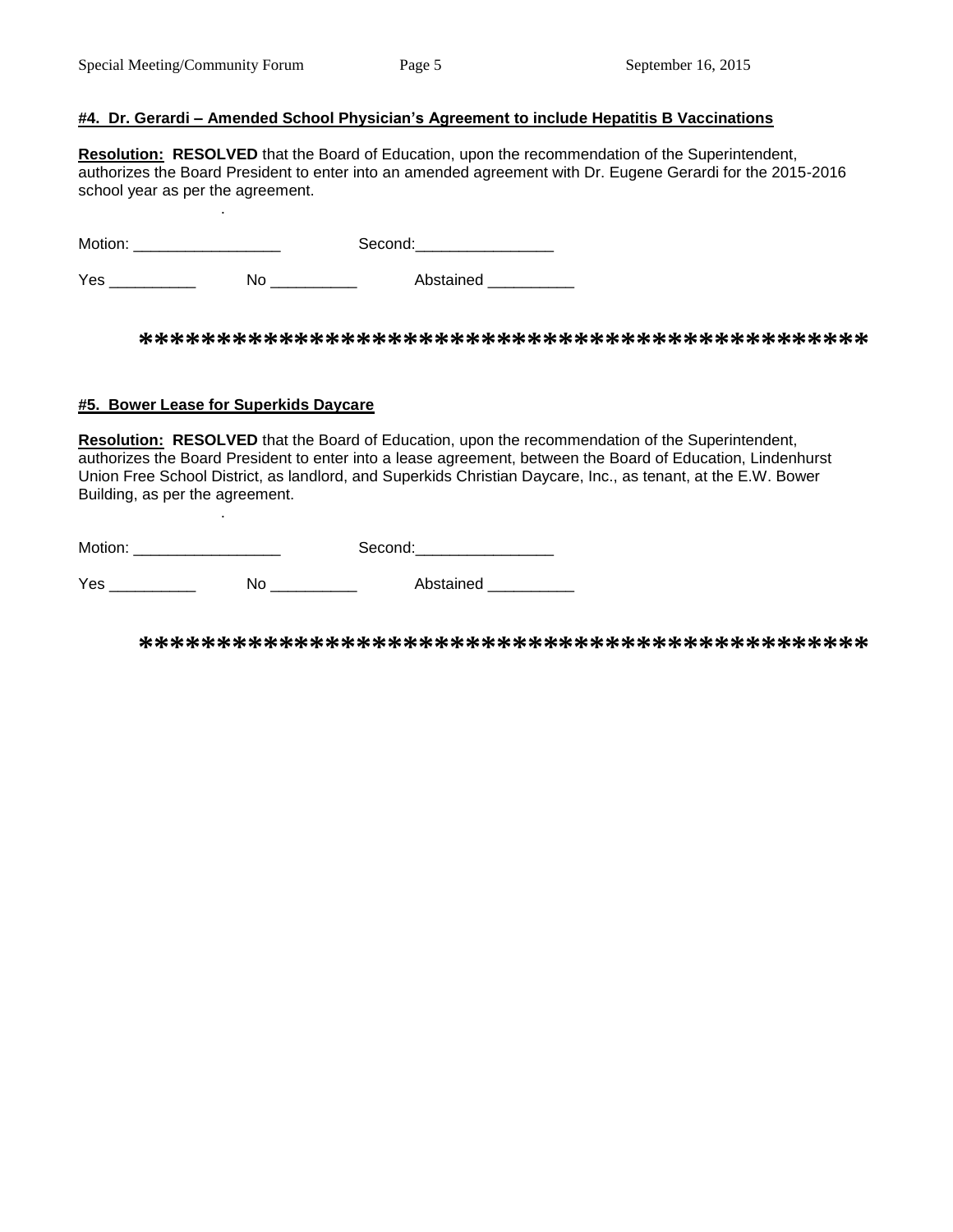.

.

### **#4. Dr. Gerardi – Amended School Physician's Agreement to include Hepatitis B Vaccinations**

**Resolution: RESOLVED** that the Board of Education, upon the recommendation of the Superintendent, authorizes the Board President to enter into an amended agreement with Dr. Eugene Gerardi for the 2015-2016 school year as per the agreement.

Motion: \_\_\_\_\_\_\_\_\_\_\_\_\_\_\_\_\_ Second:\_\_\_\_\_\_\_\_\_\_\_\_\_\_\_\_

Yes \_\_\_\_\_\_\_\_\_\_\_\_ No \_\_\_\_\_\_\_\_\_ Abstained \_\_\_\_\_\_\_\_

**\*\*\*\*\*\*\*\*\*\*\*\*\*\*\*\*\*\*\*\*\*\*\*\*\*\*\*\*\*\*\*\*\*\*\*\*\*\*\*\*\*\*\*\*\*\*\***

### **#5. Bower Lease for Superkids Daycare**

**Resolution: RESOLVED** that the Board of Education, upon the recommendation of the Superintendent, authorizes the Board President to enter into a lease agreement, between the Board of Education, Lindenhurst Union Free School District, as landlord, and Superkids Christian Daycare, Inc., as tenant, at the E.W. Bower Building, as per the agreement.

| Motion: | Second. |
|---------|---------|
|---------|---------|

Yes \_\_\_\_\_\_\_\_\_\_\_\_ No \_\_\_\_\_\_\_\_\_\_ Abstained \_\_\_\_\_\_\_\_\_\_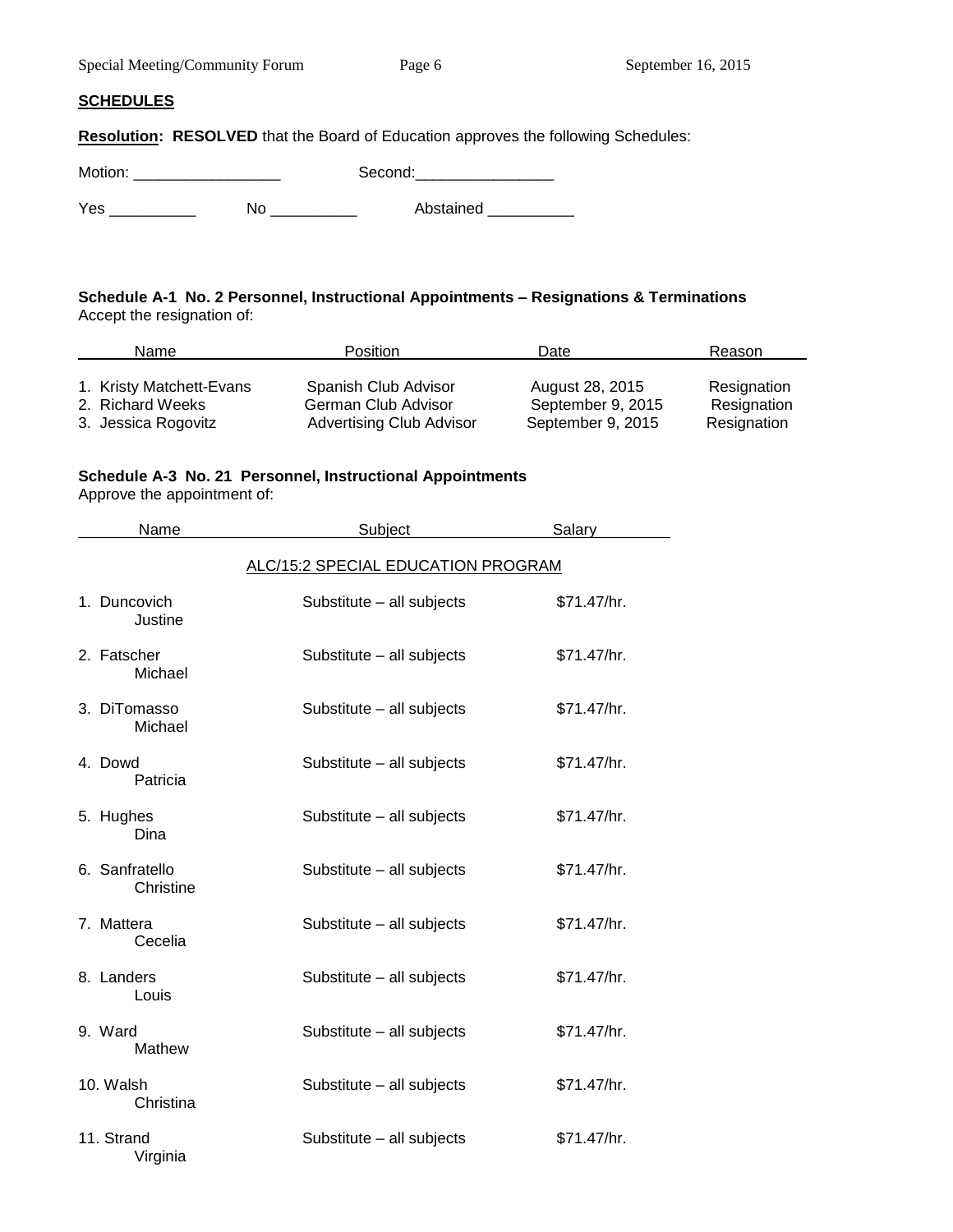|  |  | Special Meeting/Community Forum |  |
|--|--|---------------------------------|--|
|--|--|---------------------------------|--|

### **SCHEDULES**

**Resolution: RESOLVED** that the Board of Education approves the following Schedules:

Motion: \_\_\_\_\_\_\_\_\_\_\_\_\_\_\_\_\_ Second:\_\_\_\_\_\_\_\_\_\_\_\_\_\_\_\_

Yes \_\_\_\_\_\_\_\_\_\_\_\_ No \_\_\_\_\_\_\_\_\_\_ Abstained \_\_\_\_\_\_\_\_\_

### **Schedule A-1 No. 2 Personnel, Instructional Appointments – Resignations & Terminations** Accept the resignation of:

| Name                     | <b>Position</b>                 | Date              | Reason      |
|--------------------------|---------------------------------|-------------------|-------------|
| 1. Kristy Matchett-Evans | Spanish Club Advisor            | August 28, 2015   | Resignation |
| 2. Richard Weeks         | German Club Advisor             | September 9, 2015 | Resignation |
| 3. Jessica Rogovitz      | <b>Advertising Club Advisor</b> | September 9, 2015 | Resignation |

## **Schedule A-3 No. 21 Personnel, Instructional Appointments**

Approve the appointment of:

| Name                        | Subject                            | <b>Salary</b> |
|-----------------------------|------------------------------------|---------------|
|                             | ALC/15:2 SPECIAL EDUCATION PROGRAM |               |
| 1. Duncovich<br>Justine     | Substitute - all subjects          | \$71.47/hr.   |
| 2. Fatscher<br>Michael      | Substitute - all subjects          | \$71.47/hr.   |
| 3. DiTomasso<br>Michael     | Substitute - all subjects          | \$71.47/hr.   |
| 4. Dowd<br>Patricia         | Substitute - all subjects          | \$71.47/hr.   |
| 5. Hughes<br>Dina           | Substitute - all subjects          | \$71.47/hr.   |
| 6. Sanfratello<br>Christine | Substitute - all subjects          | \$71.47/hr.   |
| 7. Mattera<br>Cecelia       | Substitute - all subjects          | \$71.47/hr.   |
| 8. Landers<br>Louis         | Substitute - all subjects          | \$71.47/hr.   |
| 9. Ward<br>Mathew           | Substitute - all subjects          | \$71.47/hr.   |
| 10. Walsh<br>Christina      | Substitute - all subjects          | \$71.47/hr.   |
| 11. Strand<br>Virginia      | Substitute - all subjects          | \$71.47/hr.   |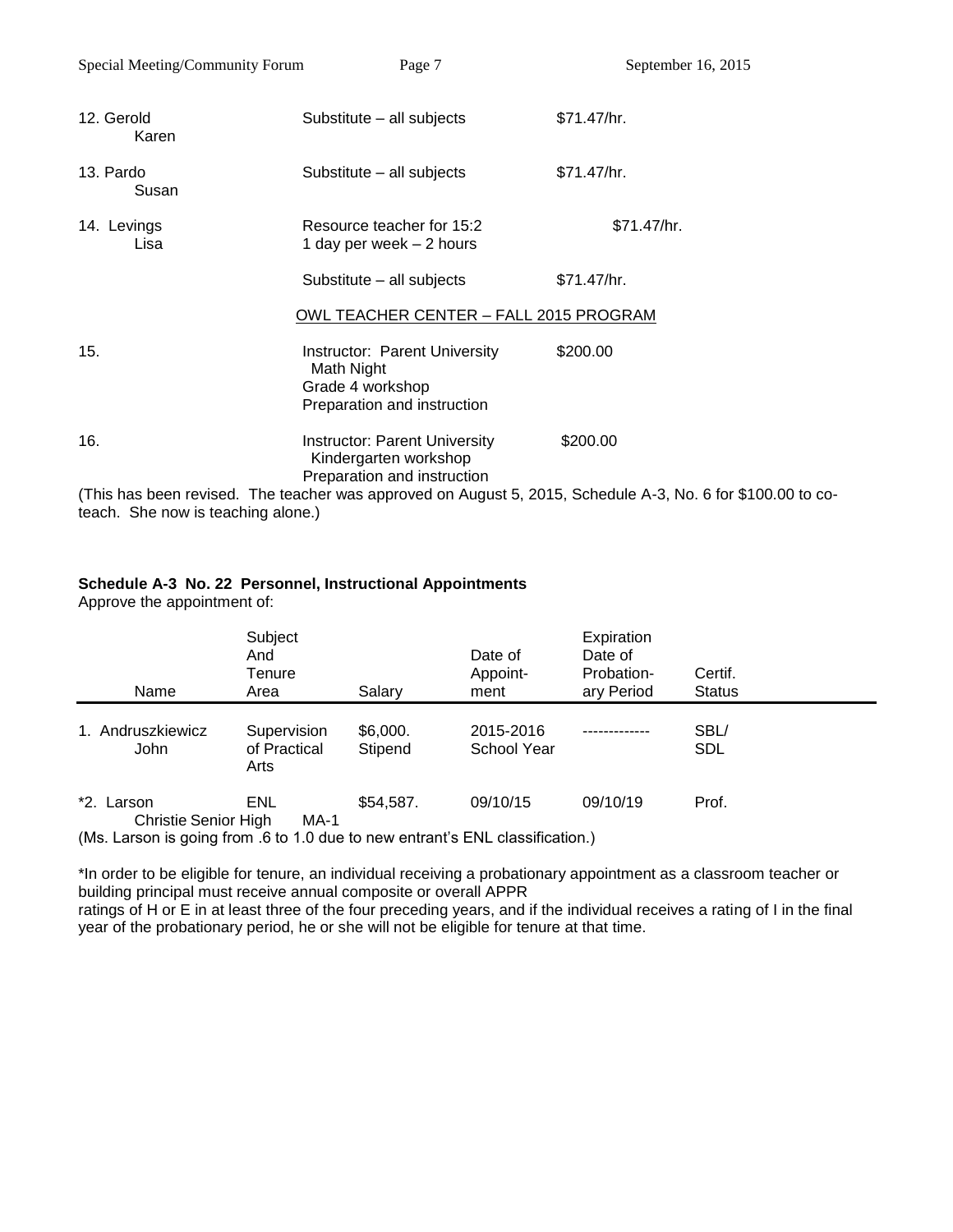| Special Meeting/Community Forum | Page 7                                                                                                | September 16, 2015 |
|---------------------------------|-------------------------------------------------------------------------------------------------------|--------------------|
| 12. Gerold<br>Karen             | Substitute - all subjects                                                                             | \$71.47/hr.        |
| 13. Pardo<br>Susan              | Substitute – all subjects                                                                             | \$71.47/hr.        |
| 14. Levings<br>Lisa             | Resource teacher for 15:2<br>1 day per week - 2 hours                                                 | \$71.47/hr.        |
|                                 | Substitute - all subjects                                                                             | \$71.47/hr.        |
|                                 | OWL TEACHER CENTER - FALL 2015 PROGRAM                                                                |                    |
| 15.                             | <b>Instructor: Parent University</b><br>Math Night<br>Grade 4 workshop<br>Preparation and instruction | \$200.00           |
| 16.                             | <b>Instructor: Parent University</b><br>Kindergarten workshop<br>Preparation and instruction          | \$200.00           |

(This has been revised. The teacher was approved on August 5, 2015, Schedule A-3, No. 6 for \$100.00 to coteach. She now is teaching alone.)

### **Schedule A-3 No. 22 Personnel, Instructional Appointments**

Approve the appointment of:

| Name                                      | Subject<br>And<br>Tenure<br>Area    | Salary              | Date of<br>Appoint-<br>ment | Expiration<br>Date of<br>Probation-<br>ary Period | Certif.<br><b>Status</b> |
|-------------------------------------------|-------------------------------------|---------------------|-----------------------------|---------------------------------------------------|--------------------------|
| 1. Andruszkiewicz<br><b>John</b>          | Supervision<br>of Practical<br>Arts | \$6,000.<br>Stipend | 2015-2016<br>School Year    |                                                   | SBL/<br><b>SDL</b>       |
| *2. Larson<br><b>Christie Senior High</b> | ENL<br>$MA-1$                       | \$54,587.           | 09/10/15                    | 09/10/19                                          | Prof.                    |

(Ms. Larson is going from .6 to 1.0 due to new entrant's ENL classification.)

\*In order to be eligible for tenure, an individual receiving a probationary appointment as a classroom teacher or building principal must receive annual composite or overall APPR

ratings of H or E in at least three of the four preceding years, and if the individual receives a rating of I in the final year of the probationary period, he or she will not be eligible for tenure at that time.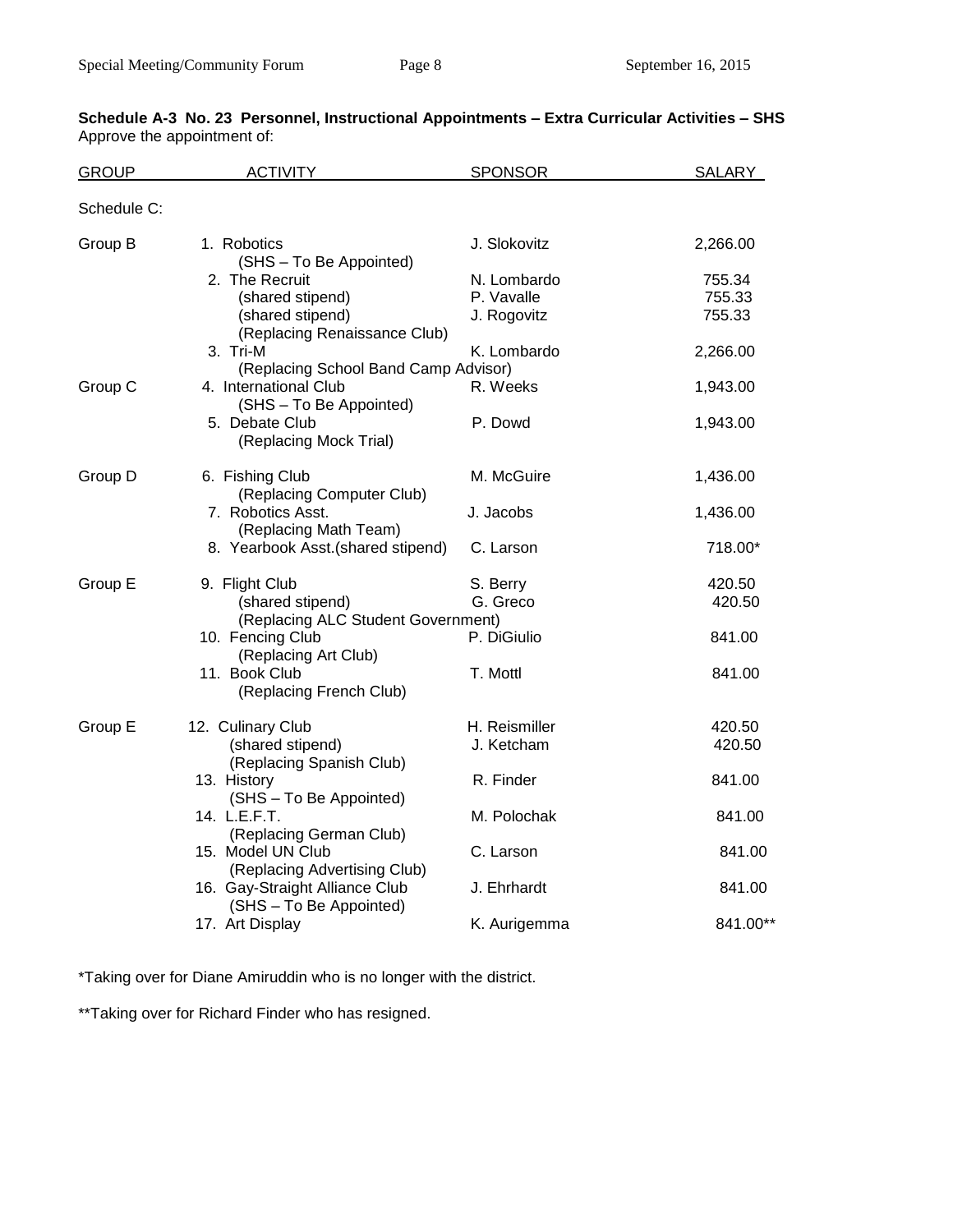| <b>GROUP</b> | <b>ACTIVITY</b>                                           | <b>SPONSOR</b> | SALARY   |
|--------------|-----------------------------------------------------------|----------------|----------|
| Schedule C:  |                                                           |                |          |
| Group B      | 1. Robotics<br>(SHS - To Be Appointed)                    | J. Slokovitz   | 2,266.00 |
|              | 2. The Recruit                                            | N. Lombardo    | 755.34   |
|              | (shared stipend)                                          | P. Vavalle     | 755.33   |
|              | (shared stipend)<br>(Replacing Renaissance Club)          | J. Rogovitz    | 755.33   |
|              | 3. Tri-M                                                  | K. Lombardo    | 2,266.00 |
|              | (Replacing School Band Camp Advisor)                      |                |          |
| Group C      | 4. International Club<br>(SHS - To Be Appointed)          | R. Weeks       | 1,943.00 |
|              | 5. Debate Club<br>(Replacing Mock Trial)                  | P. Dowd        | 1,943.00 |
| Group D      | 6. Fishing Club<br>(Replacing Computer Club)              | M. McGuire     | 1,436.00 |
|              | 7. Robotics Asst.<br>(Replacing Math Team)                | J. Jacobs      | 1,436.00 |
|              | 8. Yearbook Asst. (shared stipend)                        | C. Larson      | 718.00*  |
| Group E      | 9. Flight Club                                            | S. Berry       | 420.50   |
|              | (shared stipend)<br>(Replacing ALC Student Government)    | G. Greco       | 420.50   |
|              | 10. Fencing Club<br>(Replacing Art Club)                  | P. DiGiulio    | 841.00   |
|              | 11. Book Club<br>(Replacing French Club)                  | T. Mottl       | 841.00   |
| Group E      | 12. Culinary Club                                         | H. Reismiller  | 420.50   |
|              | (shared stipend)<br>(Replacing Spanish Club)              | J. Ketcham     | 420.50   |
|              | 13. History<br>(SHS - To Be Appointed)                    | R. Finder      | 841.00   |
|              | 14. L.E.F.T.<br>(Replacing German Club)                   | M. Polochak    | 841.00   |
|              | 15. Model UN Club<br>(Replacing Advertising Club)         | C. Larson      | 841.00   |
|              | 16. Gay-Straight Alliance Club<br>(SHS - To Be Appointed) | J. Ehrhardt    | 841.00   |
|              | 17. Art Display                                           | K. Aurigemma   | 841.00** |

## **Schedule A-3 No. 23 Personnel, Instructional Appointments – Extra Curricular Activities – SHS** Approve the appointment of:

\*Taking over for Diane Amiruddin who is no longer with the district.

\*\*Taking over for Richard Finder who has resigned.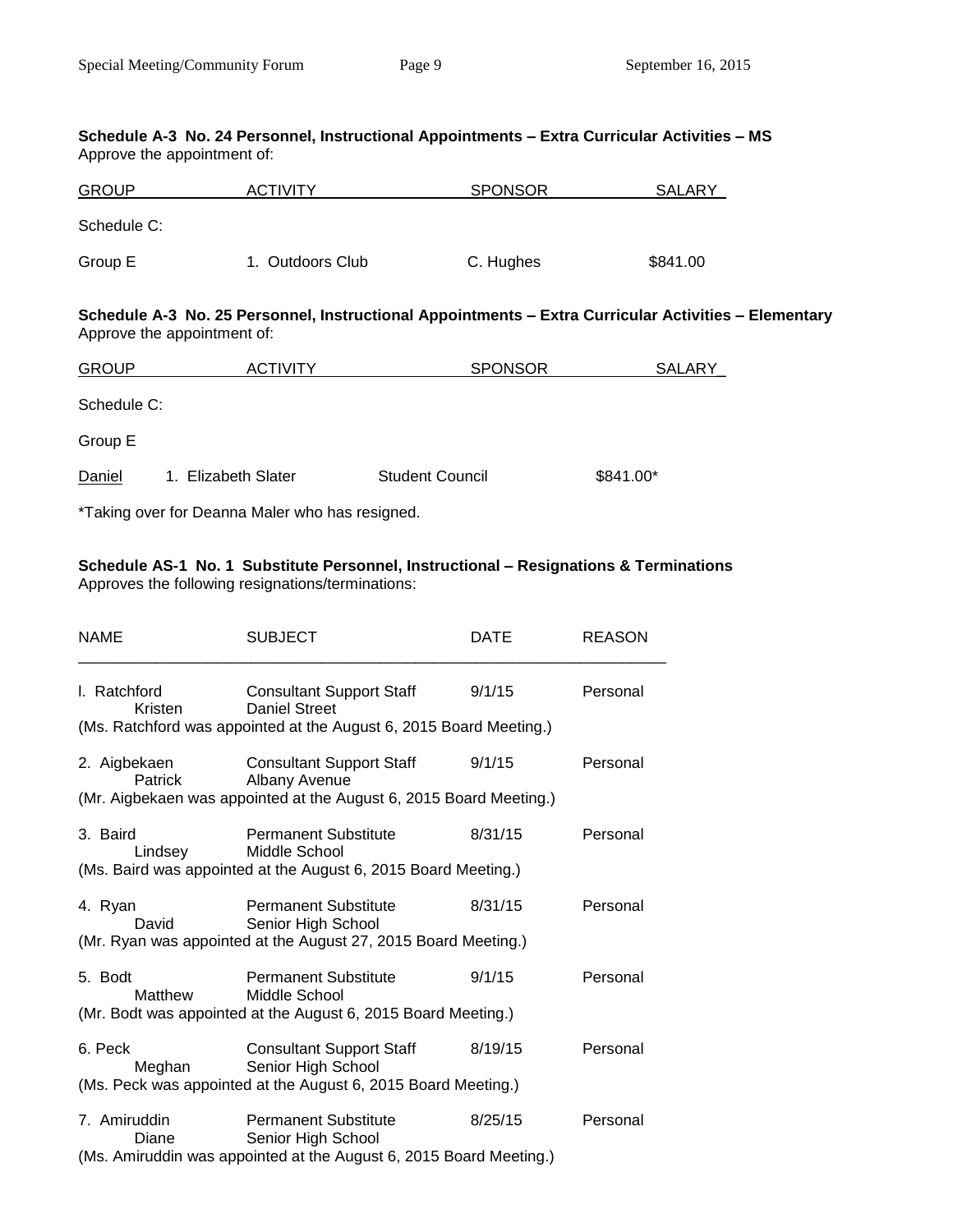#### **Schedule A-3 No. 24 Personnel, Instructional Appointments – Extra Curricular Activities – MS** Approve the appointment of:

| <b>GROUP</b> | <b>ACTIVITY</b>  | <b>SPONSOR</b> | <b>SALARY</b> |
|--------------|------------------|----------------|---------------|
| Schedule C:  |                  |                |               |
| Group E      | 1. Outdoors Club | C. Hughes      | \$841.00      |

### **Schedule A-3 No. 25 Personnel, Instructional Appointments – Extra Curricular Activities – Elementary** Approve the appointment of:

| <b>GROUP</b>                                    | <b>ACTIVITY</b>     | <b>SPONSOR</b>         | <b>SALARY</b> |  |  |  |  |
|-------------------------------------------------|---------------------|------------------------|---------------|--|--|--|--|
| Schedule C:                                     |                     |                        |               |  |  |  |  |
| Group E                                         |                     |                        |               |  |  |  |  |
| Daniel                                          | 1. Elizabeth Slater | <b>Student Council</b> | \$841.00*     |  |  |  |  |
| *Taking over for Deanna Maler who has resigned. |                     |                        |               |  |  |  |  |

## **Schedule AS-1 No. 1 Substitute Personnel, Instructional – Resignations & Terminations** Approves the following resignations/terminations:

| <b>NAME</b>             | <b>SUBJECT</b>                                                                                                                | DATE    | <b>REASON</b> |
|-------------------------|-------------------------------------------------------------------------------------------------------------------------------|---------|---------------|
| l. Ratchford<br>Kristen | <b>Consultant Support Staff</b><br><b>Daniel Street</b><br>(Ms. Ratchford was appointed at the August 6, 2015 Board Meeting.) | 9/1/15  | Personal      |
| 2. Aigbekaen<br>Patrick | <b>Consultant Support Staff</b><br>Albany Avenue<br>(Mr. Aigbekaen was appointed at the August 6, 2015 Board Meeting.)        | 9/1/15  | Personal      |
| 3. Baird<br>Lindsey     | <b>Permanent Substitute</b><br>Middle School<br>(Ms. Baird was appointed at the August 6, 2015 Board Meeting.)                | 8/31/15 | Personal      |
| 4. Ryan<br>David        | <b>Permanent Substitute</b><br>Senior High School<br>(Mr. Ryan was appointed at the August 27, 2015 Board Meeting.)           | 8/31/15 | Personal      |
| 5. Bodt<br>Matthew      | <b>Permanent Substitute</b><br>Middle School<br>(Mr. Bodt was appointed at the August 6, 2015 Board Meeting.)                 | 9/1/15  | Personal      |
| 6. Peck<br>Meghan       | <b>Consultant Support Staff</b><br>Senior High School<br>(Ms. Peck was appointed at the August 6, 2015 Board Meeting.)        | 8/19/15 | Personal      |
| 7. Amiruddin<br>Diane   | <b>Permanent Substitute</b><br>Senior High School<br>(Ms. Amiruddin was appointed at the August 6, 2015 Board Meeting.)       | 8/25/15 | Personal      |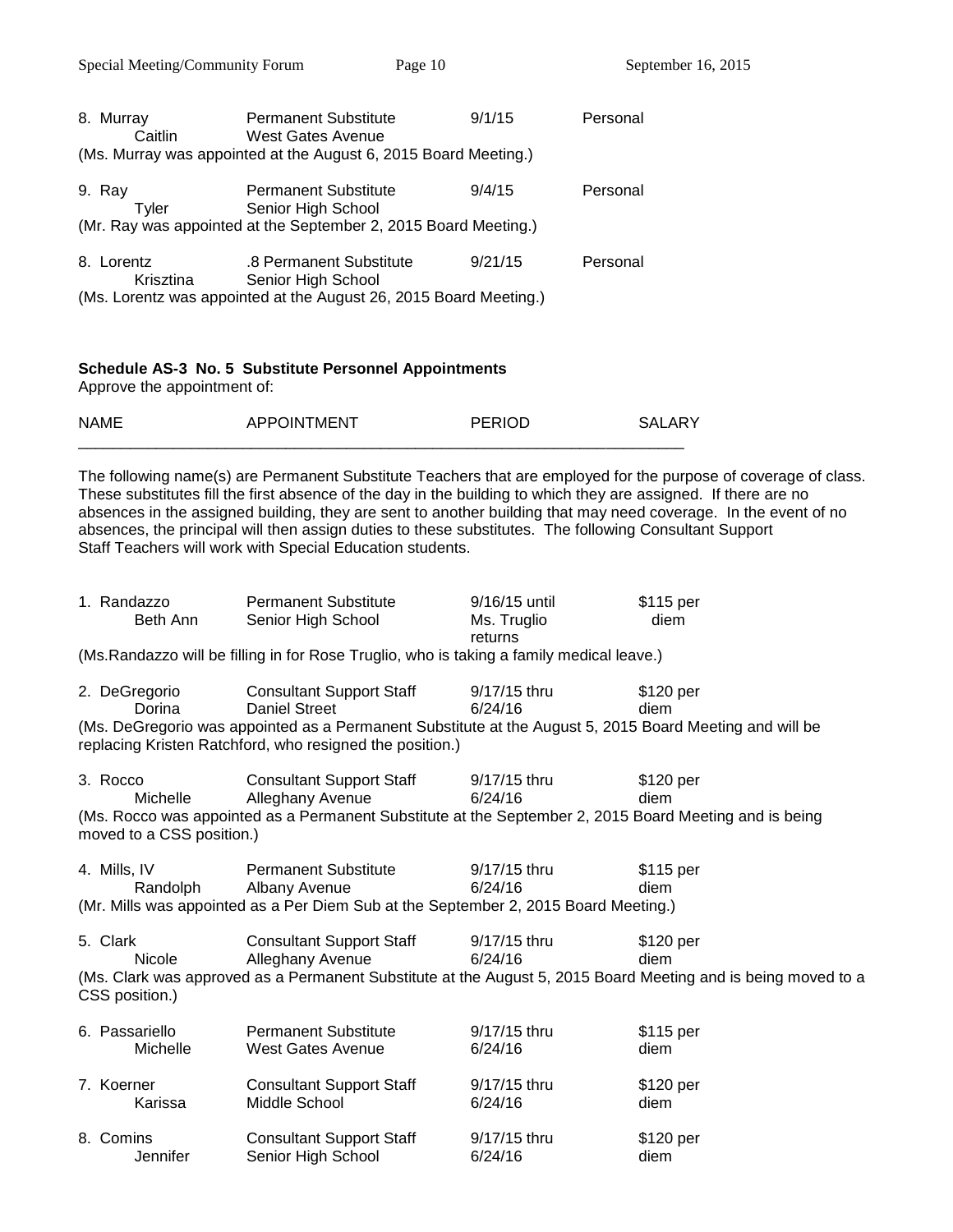| 8. Murray               | <b>Permanent Substitute</b>                                       | 9/1/15  | Personal |
|-------------------------|-------------------------------------------------------------------|---------|----------|
| Caitlin                 | West Gates Avenue                                                 |         |          |
|                         | (Ms. Murray was appointed at the August 6, 2015 Board Meeting.)   |         |          |
| 9. Ray<br>Tvler         | <b>Permanent Substitute</b><br>Senior High School                 | 9/4/15  | Personal |
|                         | (Mr. Ray was appointed at the September 2, 2015 Board Meeting.)   |         |          |
| 8. Lorentz<br>Krisztina | .8 Permanent Substitute<br>Senior High School                     | 9/21/15 | Personal |
|                         | (Ms. Lorentz was appointed at the August 26, 2015 Board Meeting.) |         |          |
|                         |                                                                   |         |          |

## **Schedule AS-3 No. 5 Substitute Personnel Appointments**

Approve the appointment of:

| <b>NAMI</b> | ADDI<br>MENT | <b>DEDIAD</b> |       |
|-------------|--------------|---------------|-------|
|             |              |               | _____ |

The following name(s) are Permanent Substitute Teachers that are employed for the purpose of coverage of class. These substitutes fill the first absence of the day in the building to which they are assigned. If there are no absences in the assigned building, they are sent to another building that may need coverage. In the event of no absences, the principal will then assign duties to these substitutes. The following Consultant Support Staff Teachers will work with Special Education students.

| 1. Randazzo<br>Beth Ann                                                                   | <b>Permanent Substitute</b><br>Senior High School | 9/16/15 until<br>Ms. Truglio<br>returns | \$115 per<br>diem |  |
|-------------------------------------------------------------------------------------------|---------------------------------------------------|-----------------------------------------|-------------------|--|
| (Ms. Randazzo will be filling in for Rose Truglio, who is taking a family medical leave.) |                                                   |                                         |                   |  |

| 2. DeGregorio | <b>Consultant Support Staff</b>                                                                                                                                                                                                                                                                  | 9/17/15 thru | \$120 per |  |
|---------------|--------------------------------------------------------------------------------------------------------------------------------------------------------------------------------------------------------------------------------------------------------------------------------------------------|--------------|-----------|--|
| Dorina        | Daniel Street                                                                                                                                                                                                                                                                                    | 6/24/16      | diem      |  |
|               | $\mathbf{A}$ and $\mathbf{A}$ and $\mathbf{A}$ and $\mathbf{A}$ and $\mathbf{A}$ and $\mathbf{A}$ and $\mathbf{A}$ and $\mathbf{A}$ and $\mathbf{A}$ and $\mathbf{A}$ and $\mathbf{A}$ and $\mathbf{A}$ and $\mathbf{A}$ and $\mathbf{A}$ and $\mathbf{A}$ and $\mathbf{A}$ and $\mathbf{A}$ and |              |           |  |

(Ms. DeGregorio was appointed as a Permanent Substitute at the August 5, 2015 Board Meeting and will be replacing Kristen Ratchford, who resigned the position.)

| 3. Rocco                  | <b>Consultant Support Staff</b> | 9/17/15 thru | \$120 per                                                                                              |
|---------------------------|---------------------------------|--------------|--------------------------------------------------------------------------------------------------------|
| Michelle                  | Alleghany Avenue                | 6/24/16      | diem                                                                                                   |
|                           |                                 |              | (Ms. Rocco was appointed as a Permanent Substitute at the September 2, 2015 Board Meeting and is being |
| moved to a CSS position.) |                                 |              |                                                                                                        |

| 4. Mills. IV | <b>Permanent Substitute</b>                                                         | 9/17/15 thru | \$115 per |
|--------------|-------------------------------------------------------------------------------------|--------------|-----------|
| Randolph     | Albany Avenue                                                                       | 6/24/16      | diem      |
|              | (Mr. Mills was appointed as a Per Diem Sub at the September 2, 2015 Board Meeting.) |              |           |

| 5. Clark       | <b>Consultant Support Staff</b> | 9/17/15 thru | \$120 per                                                                                                     |
|----------------|---------------------------------|--------------|---------------------------------------------------------------------------------------------------------------|
| <b>Nicole</b>  | Alleghany Avenue                | 6/24/16      | diem                                                                                                          |
|                |                                 |              | (Ms. Clark was approved as a Permanent Substitute at the August 5, 2015 Board Meeting and is being moved to a |
| CSS position.) |                                 |              |                                                                                                               |

| 6. Passariello | <b>Permanent Substitute</b>     | 9/17/15 thru | \$115 per |
|----------------|---------------------------------|--------------|-----------|
| Michelle       | <b>West Gates Avenue</b>        | 6/24/16      | diem      |
| 7. Koerner     | <b>Consultant Support Staff</b> | 9/17/15 thru | \$120 per |
| Karissa        | Middle School                   | 6/24/16      | diem      |
| 8. Comins      | <b>Consultant Support Staff</b> | 9/17/15 thru | \$120 per |
| Jennifer       | Senior High School              | 6/24/16      | diem      |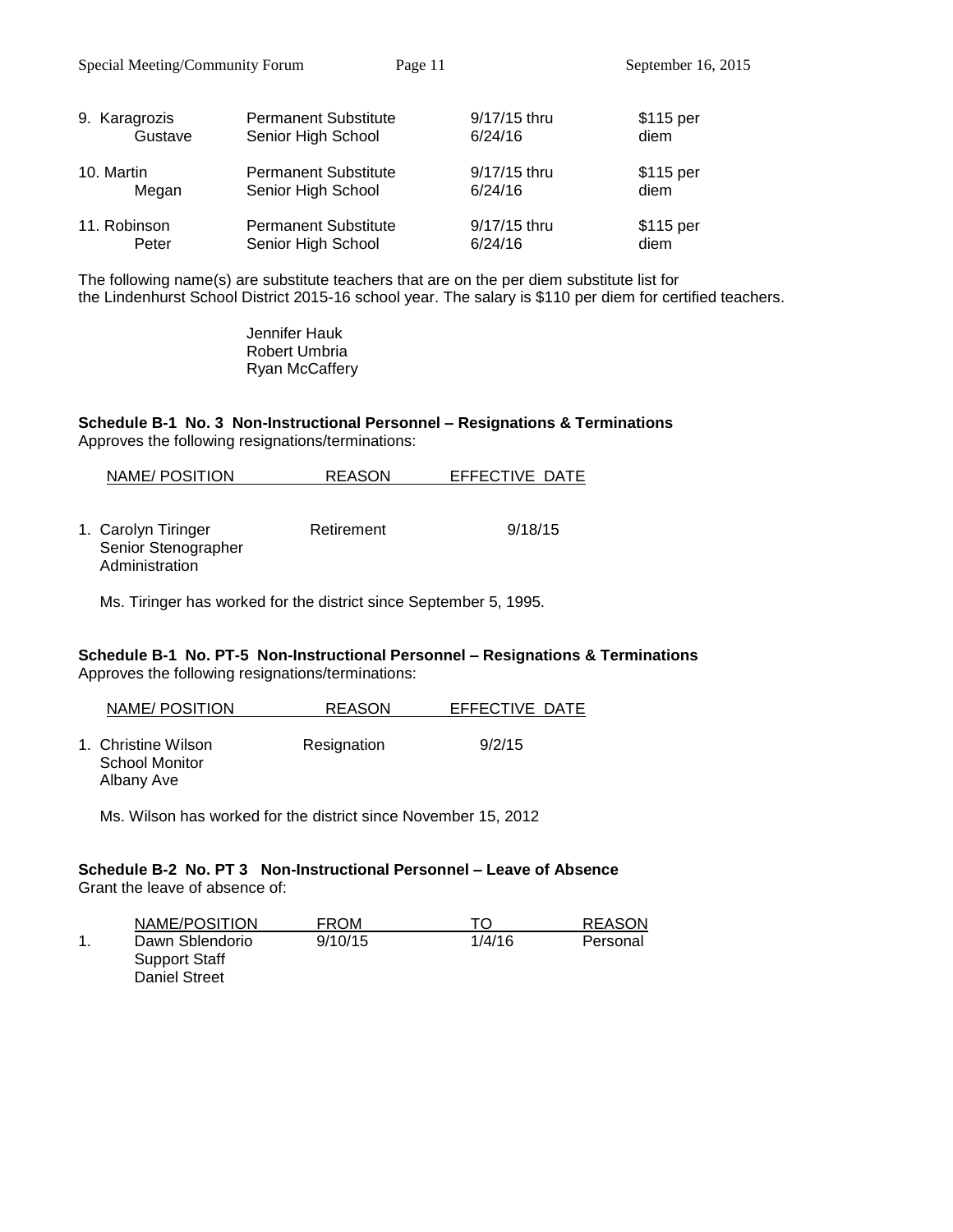Special Meeting/Community Forum Page 11 September 16, 2015

| 9. Karagrozis | <b>Permanent Substitute</b> | 9/17/15 thru | \$115 per |
|---------------|-----------------------------|--------------|-----------|
| Gustave       | Senior High School          | 6/24/16      | diem      |
| 10. Martin    | <b>Permanent Substitute</b> | 9/17/15 thru | \$115 per |
| Megan         | Senior High School          | 6/24/16      | diem      |
| 11. Robinson  | <b>Permanent Substitute</b> | 9/17/15 thru | \$115 per |
| Peter         | Senior High School          | 6/24/16      | diem      |

The following name(s) are substitute teachers that are on the per diem substitute list for the Lindenhurst School District 2015-16 school year. The salary is \$110 per diem for certified teachers.

> Jennifer Hauk Robert Umbria Ryan McCaffery

**Schedule B-1 No. 3 Non-Instructional Personnel – Resignations & Terminations** Approves the following resignations/terminations:

| NAME/POSITION                                                | <b>REASON</b> | EFFECTIVE DATE |
|--------------------------------------------------------------|---------------|----------------|
| 1. Carolyn Tiringer<br>Senior Stenographer<br>Administration | Retirement    | 9/18/15        |

Ms. Tiringer has worked for the district since September 5, 1995.

### **Schedule B-1 No. PT-5 Non-Instructional Personnel – Resignations & Terminations** Approves the following resignations/terminations:

| NAME/POSITION                                       | <b>REASON</b> | EFFECTIVE DATE |
|-----------------------------------------------------|---------------|----------------|
| 1. Christine Wilson<br>School Monitor<br>Albany Ave | Resignation   | 9/2/15         |

Ms. Wilson has worked for the district since November 15, 2012

#### **Schedule B-2 No. PT 3 Non-Instructional Personnel – Leave of Absence** Grant the leave of absence of:

| NAME/POSITION   | <b>FROM</b> | TO.    | <b>REASON</b> |
|-----------------|-------------|--------|---------------|
| Dawn Sblendorio | 9/10/15     | 1/4/16 | Personal      |
| Support Staff   |             |        |               |
| Daniel Street   |             |        |               |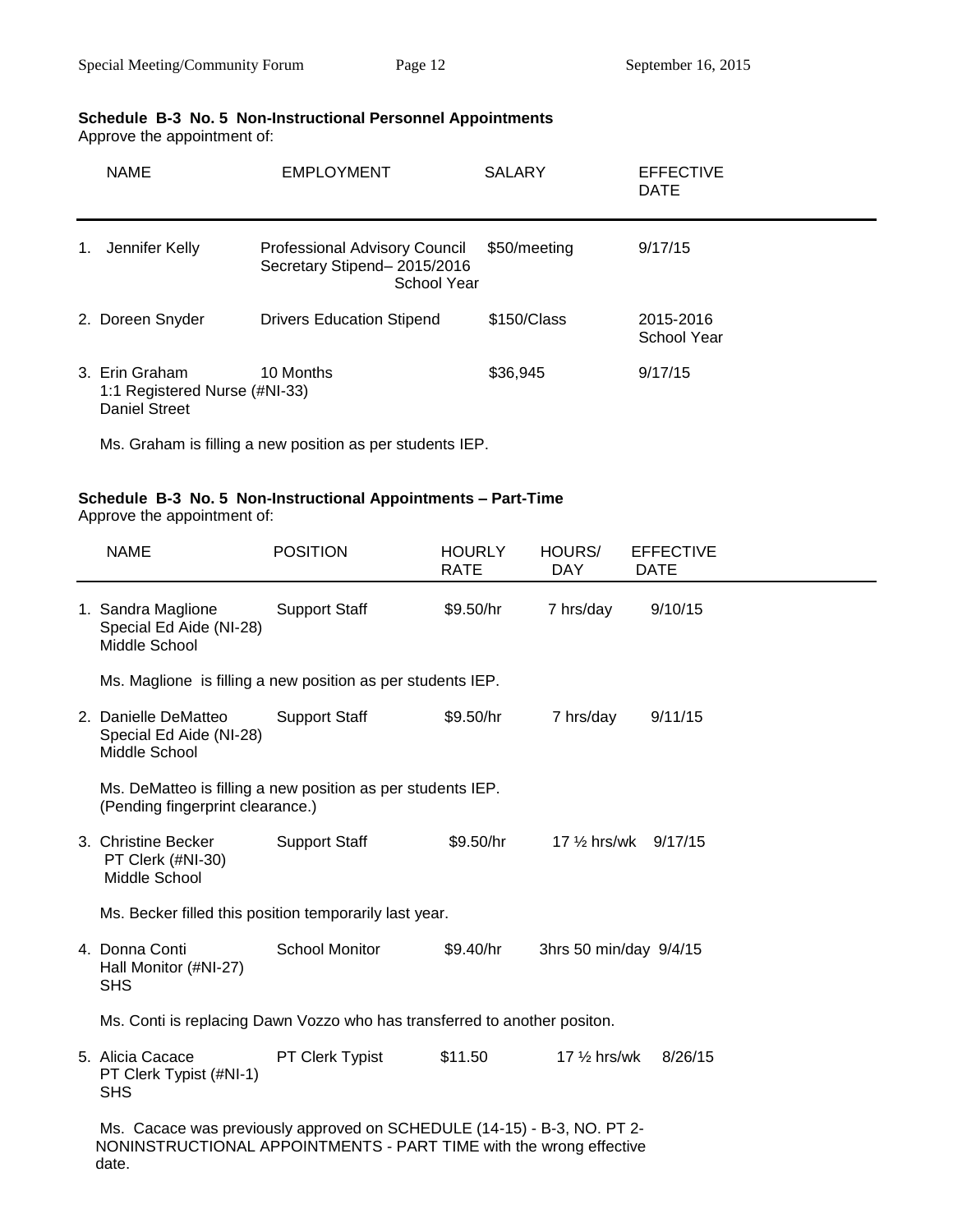## **Schedule B-3 No. 5 Non-Instructional Personnel Appointments**

Approve the appointment of:

|    | <b>NAME</b>                                                             | <b>EMPLOYMENT</b>                                                                  | <b>SALARY</b> | <b>EFFECTIVE</b><br><b>DATE</b> |
|----|-------------------------------------------------------------------------|------------------------------------------------------------------------------------|---------------|---------------------------------|
| 1. | Jennifer Kelly                                                          | <b>Professional Advisory Council</b><br>Secretary Stipend-2015/2016<br>School Year | \$50/meeting  | 9/17/15                         |
|    | 2. Doreen Snyder                                                        | <b>Drivers Education Stipend</b>                                                   | \$150/Class   | 2015-2016<br>School Year        |
|    | 3. Erin Graham<br>1:1 Registered Nurse (#NI-33)<br><b>Daniel Street</b> | 10 Months                                                                          | \$36.945      | 9/17/15                         |

Ms. Graham is filling a new position as per students IEP.

# **Schedule B-3 No. 5 Non-Instructional Appointments – Part-Time**

Approve the appointment of:

| <b>NAME</b>                                                                                                                                            | <b>POSITION</b>       | <b>HOURLY</b><br><b>RATE</b> | HOURS/<br><b>DAY</b>    | <b>EFFECTIVE</b><br><b>DATE</b> |
|--------------------------------------------------------------------------------------------------------------------------------------------------------|-----------------------|------------------------------|-------------------------|---------------------------------|
| 1. Sandra Maglione<br>Special Ed Aide (NI-28)<br>Middle School                                                                                         | <b>Support Staff</b>  | \$9.50/hr                    | 7 hrs/day               | 9/10/15                         |
| Ms. Maglione is filling a new position as per students IEP.                                                                                            |                       |                              |                         |                                 |
| 2. Danielle DeMatteo<br>Special Ed Aide (NI-28)<br>Middle School                                                                                       | <b>Support Staff</b>  | \$9.50/hr                    | 7 hrs/day               | 9/11/15                         |
| Ms. DeMatteo is filling a new position as per students IEP.<br>(Pending fingerprint clearance.)                                                        |                       |                              |                         |                                 |
| 3. Christine Becker<br>PT Clerk (#NI-30)<br>Middle School                                                                                              | <b>Support Staff</b>  | \$9.50/hr                    |                         | 17 1/2 hrs/wk 9/17/15           |
| Ms. Becker filled this position temporarily last year.                                                                                                 |                       |                              |                         |                                 |
| 4. Donna Conti<br>Hall Monitor (#NI-27)<br><b>SHS</b>                                                                                                  | <b>School Monitor</b> | \$9.40/hr                    | 3hrs 50 min/day 9/4/15  |                                 |
| Ms. Conti is replacing Dawn Vozzo who has transferred to another positon.                                                                              |                       |                              |                         |                                 |
| 5. Alicia Cacace<br>PT Clerk Typist (#NI-1)<br><b>SHS</b>                                                                                              | PT Clerk Typist       | \$11.50                      | 17 $\frac{1}{2}$ hrs/wk | 8/26/15                         |
| Ms. Cacace was previously approved on SCHEDULE (14-15) - B-3, NO. PT 2-<br>NONINSTRUCTIONAL APPOINTMENTS - PART TIME with the wrong effective<br>date. |                       |                              |                         |                                 |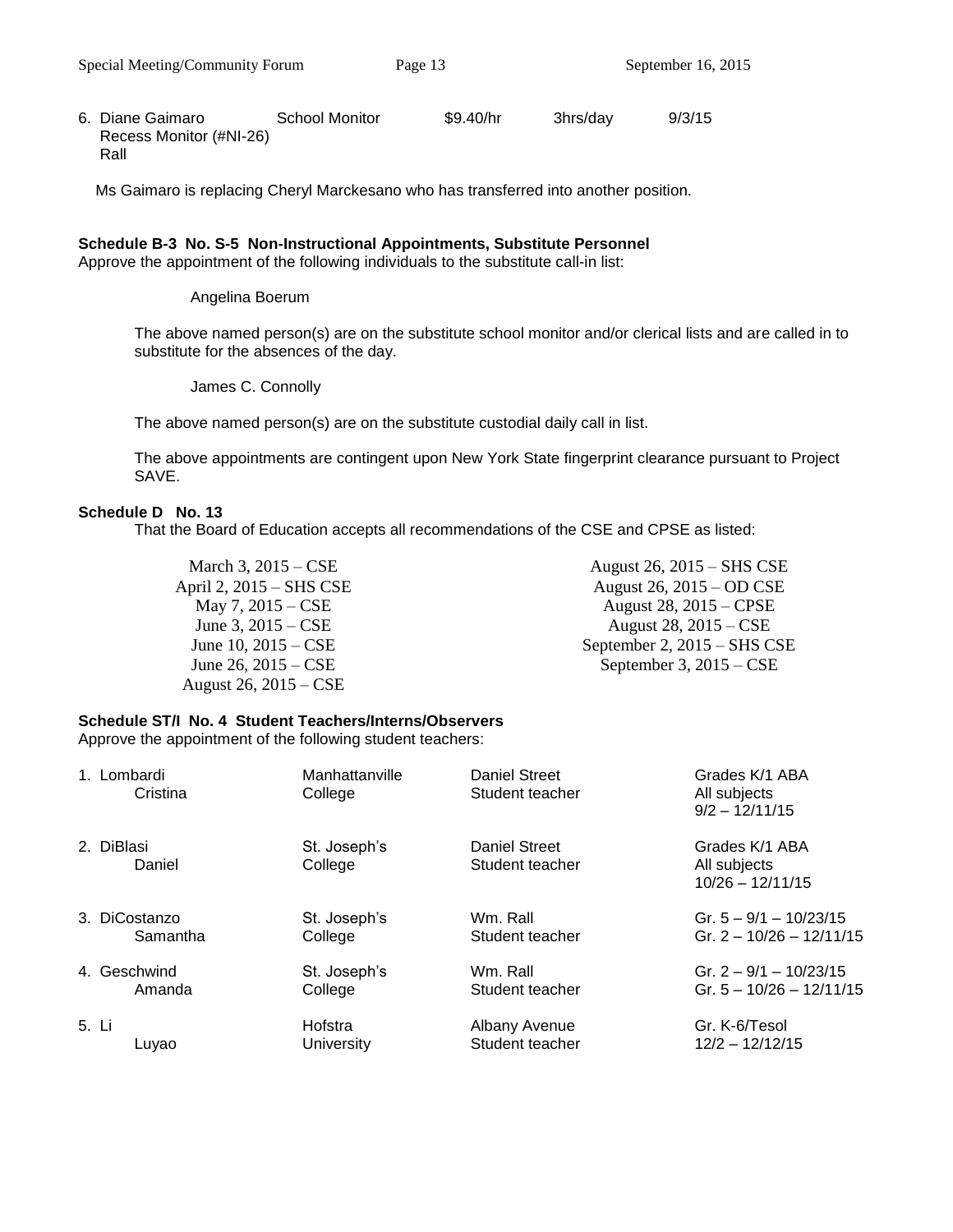6. Diane Gaimaro School Monitor \$9.40/hr 3hrs/day 9/3/15 Recess Monitor (#NI-26) Rall

Ms Gaimaro is replacing Cheryl Marckesano who has transferred into another position.

### **Schedule B-3 No. S-5 Non-Instructional Appointments, Substitute Personnel**

Approve the appointment of the following individuals to the substitute call-in list:

Angelina Boerum

The above named person(s) are on the substitute school monitor and/or clerical lists and are called in to substitute for the absences of the day.

James C. Connolly

The above named person(s) are on the substitute custodial daily call in list.

The above appointments are contingent upon New York State fingerprint clearance pursuant to Project SAVE.

### **Schedule D No. 13**

That the Board of Education accepts all recommendations of the CSE and CPSE as listed:

March 3, 2015 – CSE April 2, 2015 – SHS CSE May 7, 2015 – CSE June 3, 2015 – CSE June 10, 2015 – CSE June 26, 2015 – CSE August 26, 2015 – CSE

August 26, 2015 – SHS CSE August 26, 2015 – OD CSE August 28, 2015 – CPSE August 28, 2015 – CSE September 2, 2015 – SHS CSE September 3, 2015 – CSE

## **Schedule ST/I No. 4 Student Teachers/Interns/Observers**

Approve the appointment of the following student teachers:

| 1. Lombardi<br>Cristina | Manhattanville<br>College | Daniel Street<br>Student teacher        | Grades K/1 ABA<br>All subjects<br>$9/2 - 12/11/15$   |
|-------------------------|---------------------------|-----------------------------------------|------------------------------------------------------|
| 2. DiBlasi<br>Daniel    | St. Joseph's<br>College   | <b>Daniel Street</b><br>Student teacher | Grades K/1 ABA<br>All subjects<br>$10/26 - 12/11/15$ |
| 3. DiCostanzo           | St. Joseph's              | Wm. Rall                                | Gr. $5 - 9/1 - 10/23/15$                             |
| Samantha                | College                   | Student teacher                         | Gr. $2 - 10/26 - 12/11/15$                           |
| 4. Geschwind            | St. Joseph's              | Wm. Rall                                | Gr. $2 - 9/1 - 10/23/15$                             |
| Amanda                  | College                   | Student teacher                         | Gr. $5 - 10/26 - 12/11/15$                           |
| 5. Li                   | Hofstra                   | Albany Avenue                           | Gr. K-6/Tesol                                        |
| Luyao                   | University                | Student teacher                         | $12/2 - 12/12/15$                                    |